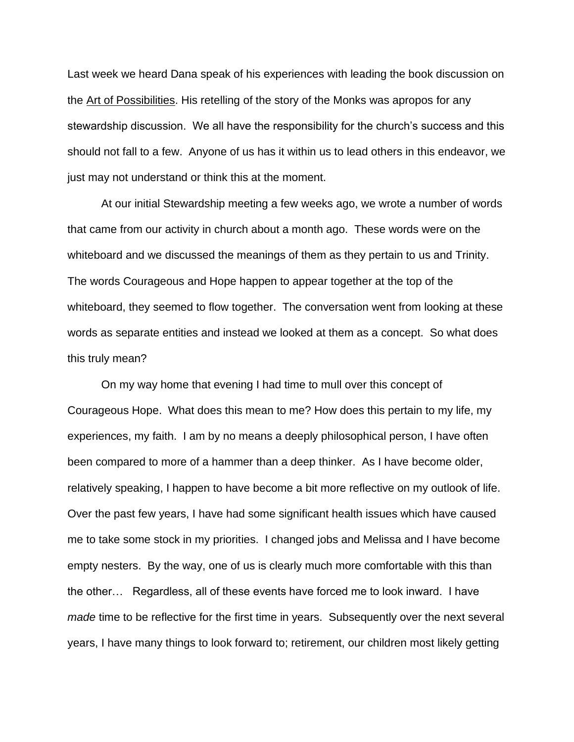Last week we heard Dana speak of his experiences with leading the book discussion on the Art of Possibilities. His retelling of the story of the Monks was apropos for any stewardship discussion. We all have the responsibility for the church's success and this should not fall to a few. Anyone of us has it within us to lead others in this endeavor, we just may not understand or think this at the moment.

At our initial Stewardship meeting a few weeks ago, we wrote a number of words that came from our activity in church about a month ago. These words were on the whiteboard and we discussed the meanings of them as they pertain to us and Trinity. The words Courageous and Hope happen to appear together at the top of the whiteboard, they seemed to flow together. The conversation went from looking at these words as separate entities and instead we looked at them as a concept. So what does this truly mean?

On my way home that evening I had time to mull over this concept of Courageous Hope. What does this mean to me? How does this pertain to my life, my experiences, my faith. I am by no means a deeply philosophical person, I have often been compared to more of a hammer than a deep thinker. As I have become older, relatively speaking, I happen to have become a bit more reflective on my outlook of life. Over the past few years, I have had some significant health issues which have caused me to take some stock in my priorities. I changed jobs and Melissa and I have become empty nesters. By the way, one of us is clearly much more comfortable with this than the other… Regardless, all of these events have forced me to look inward. I have *made* time to be reflective for the first time in years. Subsequently over the next several years, I have many things to look forward to; retirement, our children most likely getting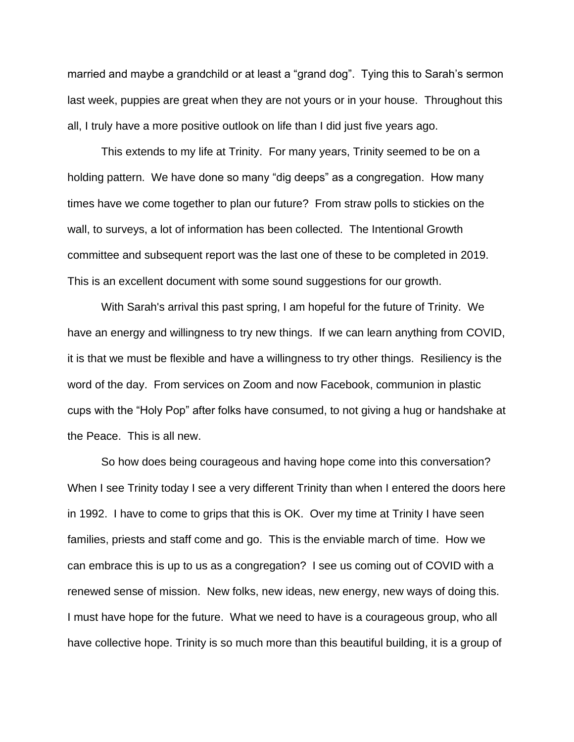married and maybe a grandchild or at least a "grand dog". Tying this to Sarah's sermon last week, puppies are great when they are not yours or in your house. Throughout this all, I truly have a more positive outlook on life than I did just five years ago.

This extends to my life at Trinity. For many years, Trinity seemed to be on a holding pattern. We have done so many "dig deeps" as a congregation. How many times have we come together to plan our future? From straw polls to stickies on the wall, to surveys, a lot of information has been collected. The Intentional Growth committee and subsequent report was the last one of these to be completed in 2019. This is an excellent document with some sound suggestions for our growth.

With Sarah's arrival this past spring, I am hopeful for the future of Trinity. We have an energy and willingness to try new things. If we can learn anything from COVID, it is that we must be flexible and have a willingness to try other things. Resiliency is the word of the day. From services on Zoom and now Facebook, communion in plastic cups with the "Holy Pop" after folks have consumed, to not giving a hug or handshake at the Peace. This is all new.

So how does being courageous and having hope come into this conversation? When I see Trinity today I see a very different Trinity than when I entered the doors here in 1992. I have to come to grips that this is OK. Over my time at Trinity I have seen families, priests and staff come and go. This is the enviable march of time. How we can embrace this is up to us as a congregation? I see us coming out of COVID with a renewed sense of mission. New folks, new ideas, new energy, new ways of doing this. I must have hope for the future. What we need to have is a courageous group, who all have collective hope. Trinity is so much more than this beautiful building, it is a group of